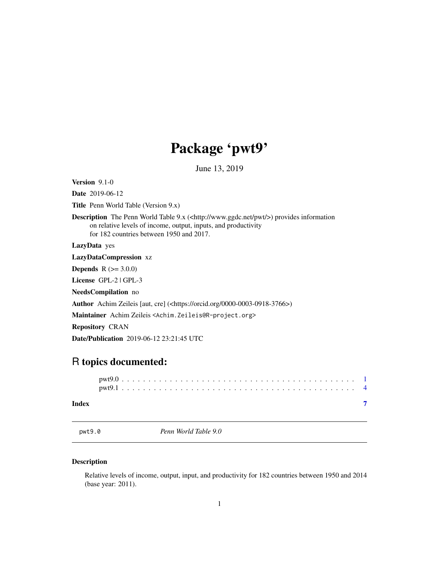## Package 'pwt9'

June 13, 2019

<span id="page-0-0"></span>Version 9.1-0 Date 2019-06-12 Title Penn World Table (Version 9.x) Description The Penn World Table 9.x (<http://www.ggdc.net/pwt/>) provides information on relative levels of income, output, inputs, and productivity for 182 countries between 1950 and 2017. LazyData yes LazyDataCompression xz **Depends** R  $(>= 3.0.0)$ License GPL-2 | GPL-3 NeedsCompilation no Author Achim Zeileis [aut, cre] (<https://orcid.org/0000-0003-0918-3766>) Maintainer Achim Zeileis <Achim.Zeileis@R-project.org> Repository CRAN Date/Publication 2019-06-12 23:21:45 UTC

## R topics documented:

#### **Index** [7](#page-6-0) **7**

<span id="page-0-1"></span>pwt9.0 *Penn World Table 9.0*

#### Description

Relative levels of income, output, input, and productivity for 182 countries between 1950 and 2014 (base year: 2011).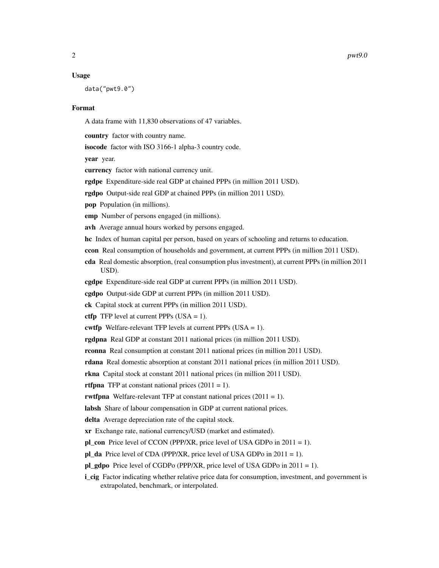#### Usage

data("pwt9.0")

#### Format

A data frame with 11,830 observations of 47 variables.

country factor with country name.

isocode factor with ISO 3166-1 alpha-3 country code.

vear year.

currency factor with national currency unit.

rgdpe Expenditure-side real GDP at chained PPPs (in million 2011 USD).

rgdpo Output-side real GDP at chained PPPs (in million 2011 USD).

pop Population (in millions).

emp Number of persons engaged (in millions).

avh Average annual hours worked by persons engaged.

hc Index of human capital per person, based on years of schooling and returns to education.

ccon Real consumption of households and government, at current PPPs (in million 2011 USD).

cda Real domestic absorption, (real consumption plus investment), at current PPPs (in million 2011 USD).

cgdpe Expenditure-side real GDP at current PPPs (in million 2011 USD).

cgdpo Output-side GDP at current PPPs (in million 2011 USD).

ck Capital stock at current PPPs (in million 2011 USD).

ctfp TFP level at current PPPs  $(USA = 1)$ .

cwtfp Welfare-relevant TFP levels at current PPPs (USA = 1).

rgdpna Real GDP at constant 2011 national prices (in million 2011 USD).

rconna Real consumption at constant 2011 national prices (in million 2011 USD).

rdana Real domestic absorption at constant 2011 national prices (in million 2011 USD).

rkna Capital stock at constant 2011 national prices (in million 2011 USD).

**rtfpna** TFP at constant national prices  $(2011 = 1)$ .

rwtfpna Welfare-relevant TFP at constant national prices  $(2011 = 1)$ .

labsh Share of labour compensation in GDP at current national prices.

delta Average depreciation rate of the capital stock.

xr Exchange rate, national currency/USD (market and estimated).

pl\_con Price level of CCON (PPP/XR, price level of USA GDPo in 2011 = 1).

pl\_da Price level of CDA (PPP/XR, price level of USA GDPo in 2011 = 1).

pl\_gdpo Price level of CGDPo (PPP/XR, price level of USA GDPo in 2011 = 1).

**i\_cig** Factor indicating whether relative price data for consumption, investment, and government is extrapolated, benchmark, or interpolated.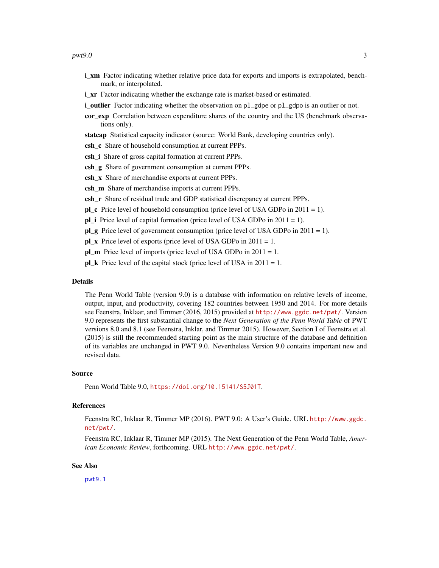#### <span id="page-2-0"></span> $pwt9.0$  3

- **i\_xm** Factor indicating whether relative price data for exports and imports is extrapolated, benchmark, or interpolated.
- **i\_xr** Factor indicating whether the exchange rate is market-based or estimated.
- **i\_outlier** Factor indicating whether the observation on pl\_gdpe or pl\_gdpo is an outlier or not.
- cor\_exp Correlation between expenditure shares of the country and the US (benchmark observations only).
- statcap Statistical capacity indicator (source: World Bank, developing countries only).
- csh\_c Share of household consumption at current PPPs.
- csh\_i Share of gross capital formation at current PPPs.
- csh **g** Share of government consumption at current PPPs.
- csh\_x Share of merchandise exports at current PPPs.
- csh\_m Share of merchandise imports at current PPPs.
- csh r Share of residual trade and GDP statistical discrepancy at current PPPs.
- $p \cdot c$  Price level of household consumption (price level of USA GDPo in 2011 = 1).
- pl\_i Price level of capital formation (price level of USA GDPo in 2011 = 1).
- pl  $g$  Price level of government consumption (price level of USA GDPo in 2011 = 1).
- pl x Price level of exports (price level of USA GDPo in  $2011 = 1$ .
- pl\_m Price level of imports (price level of USA GDPo in 2011 = 1.
- $pLk$  Price level of the capital stock (price level of USA in 2011 = 1.

#### Details

The Penn World Table (version 9.0) is a database with information on relative levels of income, output, input, and productivity, covering 182 countries between 1950 and 2014. For more details see Feenstra, Inklaar, and Timmer (2016, 2015) provided at <http://www.ggdc.net/pwt/>. Version 9.0 represents the first substantial change to the *Next Generation of the Penn World Table* of PWT versions 8.0 and 8.1 (see Feenstra, Inklar, and Timmer 2015). However, Section I of Feenstra et al. (2015) is still the recommended starting point as the main structure of the database and definition of its variables are unchanged in PWT 9.0. Nevertheless Version 9.0 contains important new and revised data.

#### Source

Penn World Table 9.0, <https://doi.org/10.15141/S5J01T>.

#### References

Feenstra RC, Inklaar R, Timmer MP (2016). PWT 9.0: A User's Guide. URL [http://www.ggdc.](http://www.ggdc.net/pwt/) [net/pwt/](http://www.ggdc.net/pwt/).

Feenstra RC, Inklaar R, Timmer MP (2015). The Next Generation of the Penn World Table, *American Economic Review*, forthcoming. URL <http://www.ggdc.net/pwt/>.

#### See Also

[pwt9.1](#page-3-1)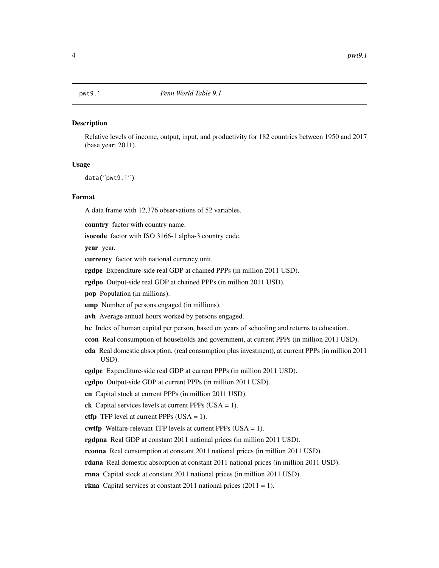<span id="page-3-1"></span><span id="page-3-0"></span>

#### **Description**

Relative levels of income, output, input, and productivity for 182 countries between 1950 and 2017 (base year: 2011).

#### Usage

data("pwt9.1")

#### Format

A data frame with 12,376 observations of 52 variables.

country factor with country name.

isocode factor with ISO 3166-1 alpha-3 country code.

year year.

currency factor with national currency unit.

rgdpe Expenditure-side real GDP at chained PPPs (in million 2011 USD).

rgdpo Output-side real GDP at chained PPPs (in million 2011 USD).

pop Population (in millions).

emp Number of persons engaged (in millions).

avh Average annual hours worked by persons engaged.

hc Index of human capital per person, based on years of schooling and returns to education.

ccon Real consumption of households and government, at current PPPs (in million 2011 USD).

cda Real domestic absorption, (real consumption plus investment), at current PPPs (in million 2011 USD).

cgdpe Expenditure-side real GDP at current PPPs (in million 2011 USD).

cgdpo Output-side GDP at current PPPs (in million 2011 USD).

cn Capital stock at current PPPs (in million 2011 USD).

ck Capital services levels at current PPPs  $(USA = 1)$ .

ctfp TFP level at current PPPs  $(USA = 1)$ .

cwtfp Welfare-relevant TFP levels at current PPPs  $(USA = 1)$ .

rgdpna Real GDP at constant 2011 national prices (in million 2011 USD).

rconna Real consumption at constant 2011 national prices (in million 2011 USD).

rdana Real domestic absorption at constant 2011 national prices (in million 2011 USD).

rnna Capital stock at constant 2011 national prices (in million 2011 USD).

**rkna** Capital services at constant 2011 national prices  $(2011 = 1)$ .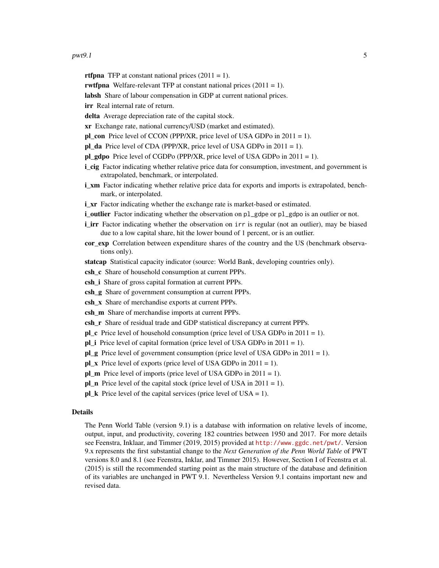#### $pwt9.1$  5

**rtfpna** TFP at constant national prices  $(2011 = 1)$ .

rwtfpna Welfare-relevant TFP at constant national prices  $(2011 = 1)$ .

labsh Share of labour compensation in GDP at current national prices.

irr Real internal rate of return.

delta Average depreciation rate of the capital stock.

xr Exchange rate, national currency/USD (market and estimated).

pl\_con Price level of CCON (PPP/XR, price level of USA GDPo in 2011 = 1).

pl\_da Price level of CDA (PPP/XR, price level of USA GDPo in 2011 = 1).

pl\_gdpo Price level of CGDPo (PPP/XR, price level of USA GDPo in  $2011 = 1$ ).

- i cig Factor indicating whether relative price data for consumption, investment, and government is extrapolated, benchmark, or interpolated.
- **i\_xm** Factor indicating whether relative price data for exports and imports is extrapolated, benchmark, or interpolated.

i\_xr Factor indicating whether the exchange rate is market-based or estimated.

- **i\_outlier** Factor indicating whether the observation on pl\_gdpe or pl\_gdpo is an outlier or not.
- i\_irr Factor indicating whether the observation on irr is regular (not an outlier), may be biased due to a low capital share, hit the lower bound of 1 percent, or is an outlier.
- cor\_exp Correlation between expenditure shares of the country and the US (benchmark observations only).

statcap Statistical capacity indicator (source: World Bank, developing countries only).

csh\_c Share of household consumption at current PPPs.

- csh i Share of gross capital formation at current PPPs.
- csh\_g Share of government consumption at current PPPs.
- csh\_x Share of merchandise exports at current PPPs.
- csh m Share of merchandise imports at current PPPs.
- csh\_r Share of residual trade and GDP statistical discrepancy at current PPPs.
- **pl** c Price level of household consumption (price level of USA GDPo in  $2011 = 1$ ).
- $pL$  Price level of capital formation (price level of USA GDPo in 2011 = 1).
- $p \log P$  Price level of government consumption (price level of USA GDPo in 2011 = 1).

 $pL_x$  Price level of exports (price level of USA GDPo in 2011 = 1).

pl\_m Price level of imports (price level of USA GDPo in 2011 = 1).

pl n Price level of the capital stock (price level of USA in  $2011 = 1$ ).

**pl\_k** Price level of the capital services (price level of USA = 1).

#### Details

The Penn World Table (version 9.1) is a database with information on relative levels of income, output, input, and productivity, covering 182 countries between 1950 and 2017. For more details see Feenstra, Inklaar, and Timmer (2019, 2015) provided at <http://www.ggdc.net/pwt/>. Version 9.x represents the first substantial change to the *Next Generation of the Penn World Table* of PWT versions 8.0 and 8.1 (see Feenstra, Inklar, and Timmer 2015). However, Section I of Feenstra et al. (2015) is still the recommended starting point as the main structure of the database and definition of its variables are unchanged in PWT 9.1. Nevertheless Version 9.1 contains important new and revised data.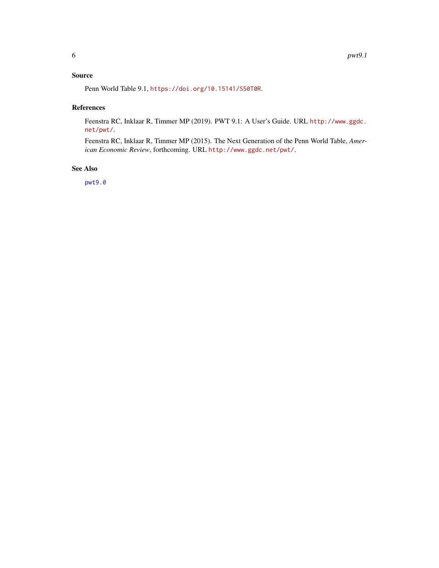#### <span id="page-5-0"></span>Source

Penn World Table 9.1, <https://doi.org/10.15141/S50T0R>.

#### References

Feenstra RC, Inklaar R, Timmer MP (2019). PWT 9.1: A User's Guide. URL [http://www.ggdc.](http://www.ggdc.net/pwt/) [net/pwt/](http://www.ggdc.net/pwt/).

Feenstra RC, Inklaar R, Timmer MP (2015). The Next Generation of the Penn World Table, *American Economic Review*, forthcoming. URL <http://www.ggdc.net/pwt/>.

#### See Also

[pwt9.0](#page-0-1)